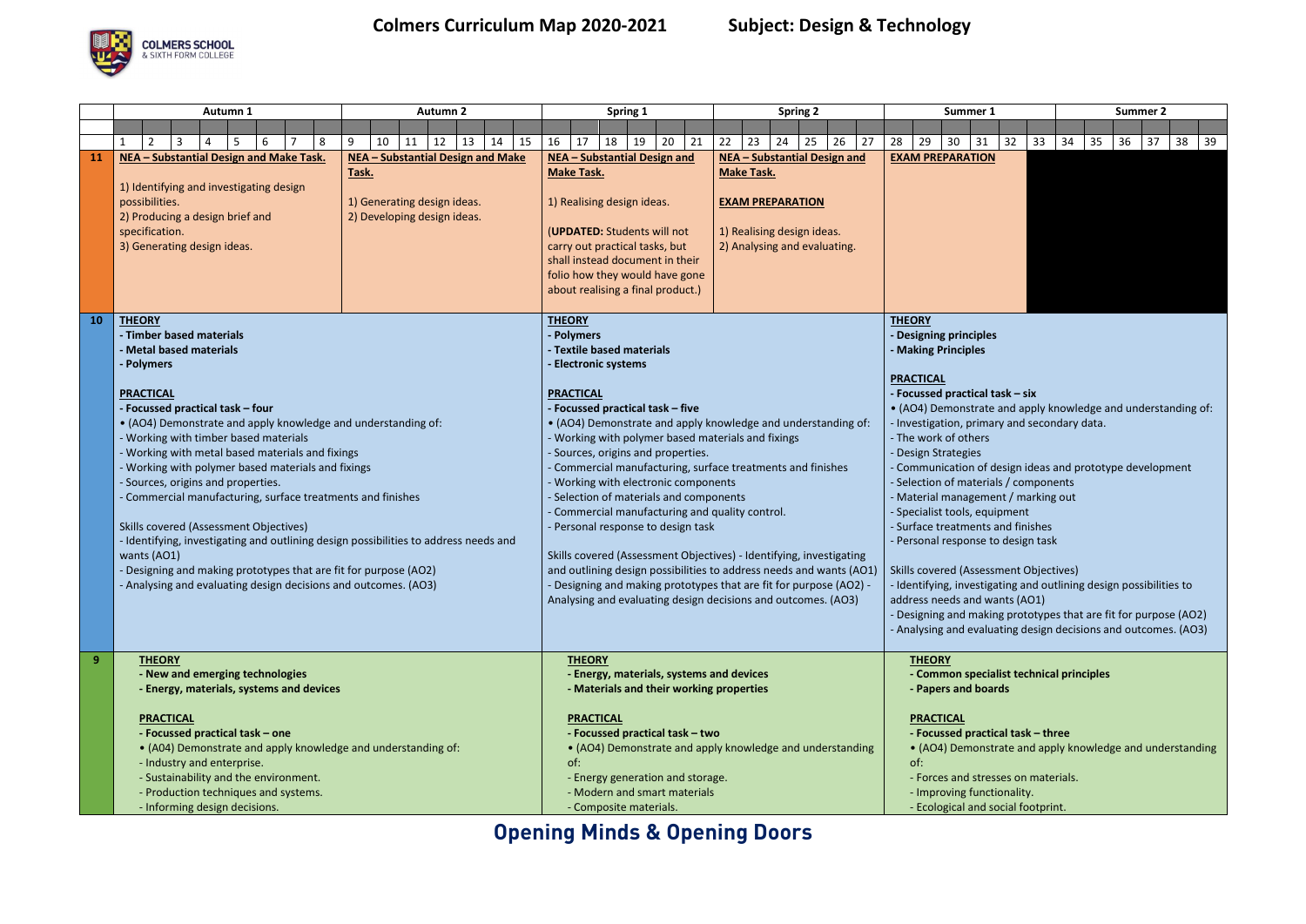**Opening Minds & Opening Doors**



## **Colmers Curriculum Map 2020-2021 Subject: Design & Technology**



|                | Autumn 1                                                                                                                                                                                                                                                                                                                                                                                                                                                                                                                                                                                                                                                    | <b>Autumn 2</b>                                                                                                 | <b>Spring 2</b><br>Spring 1                                                                                                                                                                                                                                                                                                                                                                                                                                                                                                                                                                                                                                                                                                         | Summer 1<br><b>Summer 2</b>                                                                                                                                                                                                                                                                                                                                                                                                                                                                                                                                                                                                                                                                                                                                                 |  |  |
|----------------|-------------------------------------------------------------------------------------------------------------------------------------------------------------------------------------------------------------------------------------------------------------------------------------------------------------------------------------------------------------------------------------------------------------------------------------------------------------------------------------------------------------------------------------------------------------------------------------------------------------------------------------------------------------|-----------------------------------------------------------------------------------------------------------------|-------------------------------------------------------------------------------------------------------------------------------------------------------------------------------------------------------------------------------------------------------------------------------------------------------------------------------------------------------------------------------------------------------------------------------------------------------------------------------------------------------------------------------------------------------------------------------------------------------------------------------------------------------------------------------------------------------------------------------------|-----------------------------------------------------------------------------------------------------------------------------------------------------------------------------------------------------------------------------------------------------------------------------------------------------------------------------------------------------------------------------------------------------------------------------------------------------------------------------------------------------------------------------------------------------------------------------------------------------------------------------------------------------------------------------------------------------------------------------------------------------------------------------|--|--|
|                |                                                                                                                                                                                                                                                                                                                                                                                                                                                                                                                                                                                                                                                             |                                                                                                                 |                                                                                                                                                                                                                                                                                                                                                                                                                                                                                                                                                                                                                                                                                                                                     |                                                                                                                                                                                                                                                                                                                                                                                                                                                                                                                                                                                                                                                                                                                                                                             |  |  |
|                | $\overline{3}$<br>5<br>$\mathcal{P}$<br>6<br>8<br>4                                                                                                                                                                                                                                                                                                                                                                                                                                                                                                                                                                                                         | 13<br>14<br>10<br>12<br>15<br>9<br>11                                                                           | 25<br>26<br>27<br>16<br>18<br>19<br>20<br> 21<br>22<br>23<br>17<br>24                                                                                                                                                                                                                                                                                                                                                                                                                                                                                                                                                                                                                                                               | 28<br>29<br>30<br>32<br>33<br>35<br>36<br>31<br>34<br>37<br>$38 \mid 39$                                                                                                                                                                                                                                                                                                                                                                                                                                                                                                                                                                                                                                                                                                    |  |  |
| <b>11</b>      | NEA - Substantial Design and Make Task.<br>1) Identifying and investigating design<br>possibilities.<br>2) Producing a design brief and<br>specification.<br>3) Generating design ideas.                                                                                                                                                                                                                                                                                                                                                                                                                                                                    | <b>NEA - Substantial Design and Make</b><br>Task.<br>1) Generating design ideas.<br>2) Developing design ideas. | NEA - Substantial Design and<br>NEA - Substantial Design and<br><b>Make Task.</b><br><b>Make Task.</b><br>1) Realising design ideas.<br><b>EXAM PREPARATION</b><br>(UPDATED: Students will not<br>1) Realising design ideas.<br>2) Analysing and evaluating.<br>carry out practical tasks, but<br>shall instead document in their<br>folio how they would have gone<br>about realising a final product.)                                                                                                                                                                                                                                                                                                                            | <b>EXAM PREPARATION</b>                                                                                                                                                                                                                                                                                                                                                                                                                                                                                                                                                                                                                                                                                                                                                     |  |  |
| <b>10</b>      | <b>THEORY</b><br>- Timber based materials<br>- Metal based materials<br>- Polymers                                                                                                                                                                                                                                                                                                                                                                                                                                                                                                                                                                          |                                                                                                                 | <b>THEORY</b><br>Polymers<br>Textile based materials<br><b>Electronic systems</b>                                                                                                                                                                                                                                                                                                                                                                                                                                                                                                                                                                                                                                                   | <b>THEORY</b><br>- Designing principles<br><b>Making Principles</b>                                                                                                                                                                                                                                                                                                                                                                                                                                                                                                                                                                                                                                                                                                         |  |  |
|                | <b>PRACTICAL</b><br>Focussed practical task – four<br>• (AO4) Demonstrate and apply knowledge and understanding of:<br>Working with timber based materials<br>Working with metal based materials and fixings<br>Working with polymer based materials and fixings<br>- Sources, origins and properties.<br>Commercial manufacturing, surface treatments and finishes<br>Skills covered (Assessment Objectives)<br>- Identifying, investigating and outlining design possibilities to address needs and<br>wants (AO1)<br>- Designing and making prototypes that are fit for purpose (AO2)<br>- Analysing and evaluating design decisions and outcomes. (AO3) |                                                                                                                 | <b>PRACTICAL</b><br>Focussed practical task - five<br>• (AO4) Demonstrate and apply knowledge and understanding of:<br>Working with polymer based materials and fixings<br>Sources, origins and properties.<br>Commercial manufacturing, surface treatments and finishes<br>Working with electronic components<br>Selection of materials and components<br>Commercial manufacturing and quality control.<br>- Personal response to design task<br>Skills covered (Assessment Objectives) - Identifying, investigating<br>and outlining design possibilities to address needs and wants (AO1)<br>- Designing and making prototypes that are fit for purpose (AO2) -<br>Analysing and evaluating design decisions and outcomes. (AO3) | <b>PRACTICAL</b><br>- Focussed practical task - six<br>• (AO4) Demonstrate and apply knowledge and understanding of:<br>- Investigation, primary and secondary data.<br>- The work of others<br>- Design Strategies<br>- Communication of design ideas and prototype development<br>- Selection of materials / components<br>- Material management / marking out<br>- Specialist tools, equipment<br>- Surface treatments and finishes<br>- Personal response to design task<br><b>Skills covered (Assessment Objectives)</b><br>- Identifying, investigating and outlining design possibilities to<br>address needs and wants (AO1)<br>- Designing and making prototypes that are fit for purpose (AO2)<br>- Analysing and evaluating design decisions and outcomes. (AO3) |  |  |
| 9 <sup>°</sup> | <b>THEORY</b><br>- New and emerging technologies<br>- Energy, materials, systems and devices<br><b>PRACTICAL</b><br>- Focussed practical task - one<br>• (A04) Demonstrate and apply knowledge and understanding of:<br>- Industry and enterprise.<br>- Sustainability and the environment.<br>- Production techniques and systems.<br>- Informing design decisions.                                                                                                                                                                                                                                                                                        |                                                                                                                 | <b>THEORY</b><br>- Energy, materials, systems and devices<br>- Materials and their working properties<br><b>PRACTICAL</b><br>- Focussed practical task - two<br>• (AO4) Demonstrate and apply knowledge and understanding<br>of:<br>- Energy generation and storage.<br>- Modern and smart materials<br>- Composite materials.                                                                                                                                                                                                                                                                                                                                                                                                      | <b>THEORY</b><br>- Common specialist technical principles<br>- Papers and boards<br><b>PRACTICAL</b><br>- Focussed practical task - three<br>• (AO4) Demonstrate and apply knowledge and understanding<br>of:<br>- Forces and stresses on materials.<br>- Improving functionality.<br>- Ecological and social footprint.                                                                                                                                                                                                                                                                                                                                                                                                                                                    |  |  |